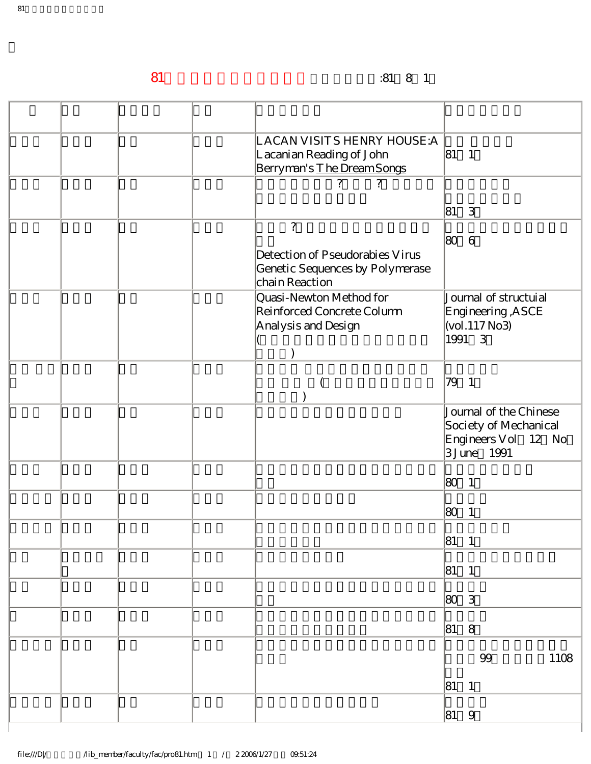81學年度升等教師代表著作升等生效日期:81年8月1日

|  | LACAN VISITS HENRY HOUSE:A<br>Lacanian Reading of John<br>Berryman's The Dream Songs                   | $ 81 \quad 1$                                                                         |
|--|--------------------------------------------------------------------------------------------------------|---------------------------------------------------------------------------------------|
|  | $\overline{?}$<br>$\gamma$                                                                             | 81 3                                                                                  |
|  | $\overline{?}$<br>Detection of Pseudorabies Virus<br>Genetic Sequences by Polymerase<br>chain Reaction | 80<br>6                                                                               |
|  | Quasi-Newton Method for<br>Reinforced Concrete Column<br>Analysis and Design                           | Journal of structuial<br>Engineering, ASCE<br>$\vert$ (vol. 117 $\rm No3$ )<br>1991 3 |
|  |                                                                                                        | 79<br>$\overline{1}$                                                                  |
|  |                                                                                                        | Journal of the Chinese<br>Society of Mechanical<br>Engineers Vol 12 No<br>3 June 1991 |
|  |                                                                                                        | 80<br>$\overline{1}$                                                                  |
|  |                                                                                                        | 80<br>$\overline{1}$                                                                  |
|  |                                                                                                        | 81<br>$\overline{1}$                                                                  |
|  |                                                                                                        | $ 81 \ 1$                                                                             |
|  |                                                                                                        | 80 3                                                                                  |
|  |                                                                                                        | $ 81 \t 8$                                                                            |
|  |                                                                                                        | $9\!9$<br>1108<br>$ 81 \quad 1$                                                       |
|  |                                                                                                        | $ 81 \quad 9$                                                                         |